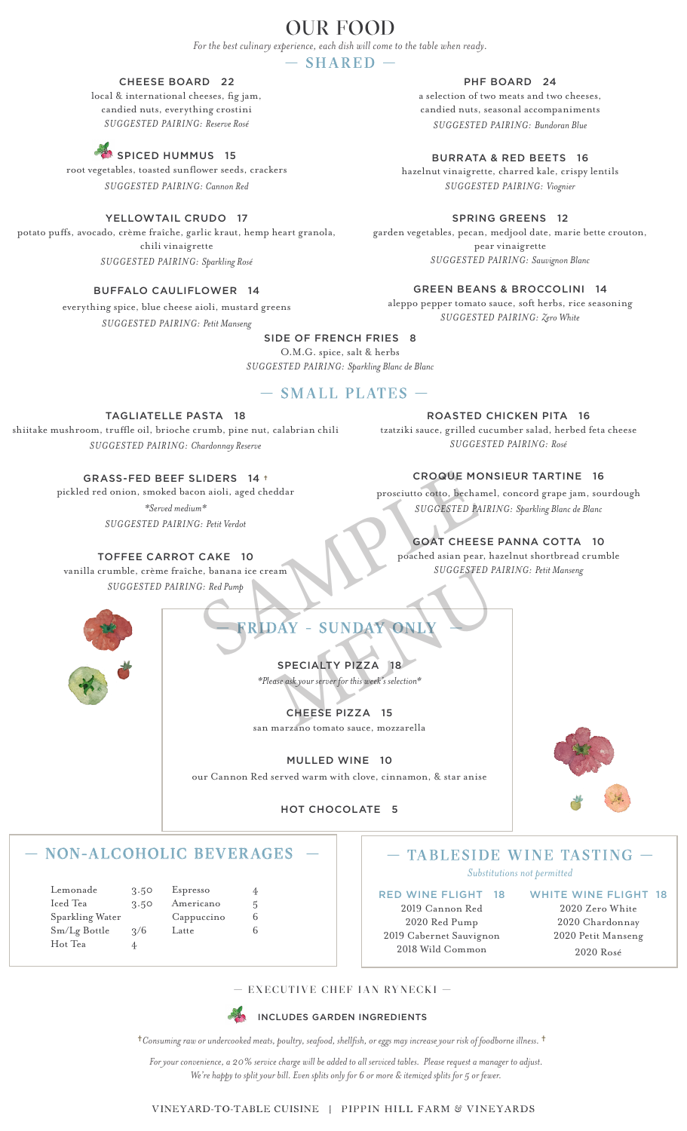# OUR FOOD

*For the best culinary experience, each dish will come to the table when ready.*

# — SHARED —

# CHEESE BOARD 22

local & international cheeses, fig jam, candied nuts, everything crostini *SUGGESTED PAIRING: Reserve Rosé*

# SPICED HUMMUS 15

root vegetables, toasted sunflower seeds, crackers *SUGGESTED PAIRING: Cannon Red*

## YELLOWTAIL CRUDO 17

potato puffs, avocado, crème fraîche, garlic kraut, hemp heart granola, chili vinaigrette *SUGGESTED PAIRING: Sparkling Rosé*

# BUFFALO CAULIFLOWER 14

everything spice, blue cheese aioli, mustard greens *SUGGESTED PAIRING: Petit Manseng*

aleppo pepper tomato sauce, soft herbs, rice seasoning *SUGGESTED PAIRING: Zero White*

## SIDE OF FRENCH FRIES 8

O.M.G. spice, salt & herbs *SUGGESTED PAIRING: Sparkling Blanc de Blanc*

# — SMALL PLATES —

#### TAGLIATELLE PASTA 18

shiitake mushroom, truffle oil, brioche crumb, pine nut, calabrian chili *SUGGESTED PAIRING: Chardonnay Reserve*

## GRASS-FED BEEF SLIDERS 14 †

pickled red onion, smoked bacon aioli, aged cheddar *\*Served medium\* SUGGESTED PAIRING: Petit Verdot*

#### TOFFEE CARROT CAKE 10

vanilla crumble, crème fraîche, banana ice cream *SUGGESTED PAIRING: Red Pump*

*SUGGESTED PAIRING: Rosé*

CROQUE MONSIEUR TARTINE 16

prosciutto cotto, bechamel, concord grape jam, sourdough *SUGGESTED PAIRING: Sparkling Blanc de Blanc*

# GOAT CHEESE PANNA COTTA 10

poached asian pear, hazelnut shortbread crumble *SUGGESTED PAIRING: Petit Manseng*

— TABLESIDE WINE TASTING — *Substitutions not permitted*



FRIDAY - SUNDAY ONI CROQUE MONS<br>
Provided a prosecutto cotto, bechamel,<br>
SERIE Verdot<br>
SERIE CAKE 10<br>
C. Red Pump<br>
C: Red Pump<br>
C. Red Pump<br>
C. Red Pump<br>
C. Red Pump<br>
C. Red Pump<br>
C. Red Pump<br>
C. Red Pump<br>
C. Red Pump<br>
C. Red Pump<br>
C. Red Pum SUGGESTED PA<br>
MAY - SUNDAY ONLY<br>
SPECIALTY PIZZA 18<br>
SPECIALTY PIZZA 18<br>
CHEESE PIZZA 15

# SPECIALTY PIZZA 18 *\*Please ask your server for this week's selection\**

CHEESE PIZZA 15 san marzano tomato sauce, mozzarella

# MULLED WINE 10



our Cannon Red served warm with clove, cinnamon, & star anise

# HOT CHOCOLATE 5

# — NON-ALCOHOLIC BEVERAGES —

| Lemonade        | 3.50          | Espresso   | 4 |
|-----------------|---------------|------------|---|
| Iced Tea        | 3.50          | Americano  | 5 |
| Sparkling Water |               | Cappuccino | b |
| Sm/Lg Bottle    | $\frac{2}{6}$ | Latte      |   |
| Hot Tea         | 4             |            |   |

RED WINE FLIGHT 18 2019 Cannon Red 2020 Red Pump 2019 Cabernet Sauvignon 2018 Wild Common

WHITE WINE FLIGHT 18 2020 Zero White 2020 Chardonnay 2020 Petit Manseng 2020 Rosé

— EXECUTIVE CHEF IAN RYNECKI —



†*Consuming raw or undercooked meats, poultry, seafood, shellfish, or eggs may increase your risk of foodborne illness.* †

*For your convenience, a 20% service charge will be added to all serviced tables. Please request a manager to adjust. We're happy to split your bill. Even splits only for 6 or more & itemized splits for 5 or fewer.*

#### VINEYARD-TO-TABLE CUISINE | PIPPIN HILL FARM & VINEYARDS

PHF BOARD 24

a selection of two meats and two cheeses, candied nuts, seasonal accompaniments *SUGGESTED PAIRING: Bundoran Blue*

BURRATA & RED BEETS 16

hazelnut vinaigrette, charred kale, crispy lentils *SUGGESTED PAIRING: Viognier*

## SPRING GREENS 12

garden vegetables, pecan, medjool date, marie bette crouton, pear vinaigrette *SUGGESTED PAIRING: Sauvignon Blanc*

GREEN BEANS & BROCCOLINI 14

ROASTED CHICKEN PITA 16

tzatziki sauce, grilled cucumber salad, herbed feta cheese